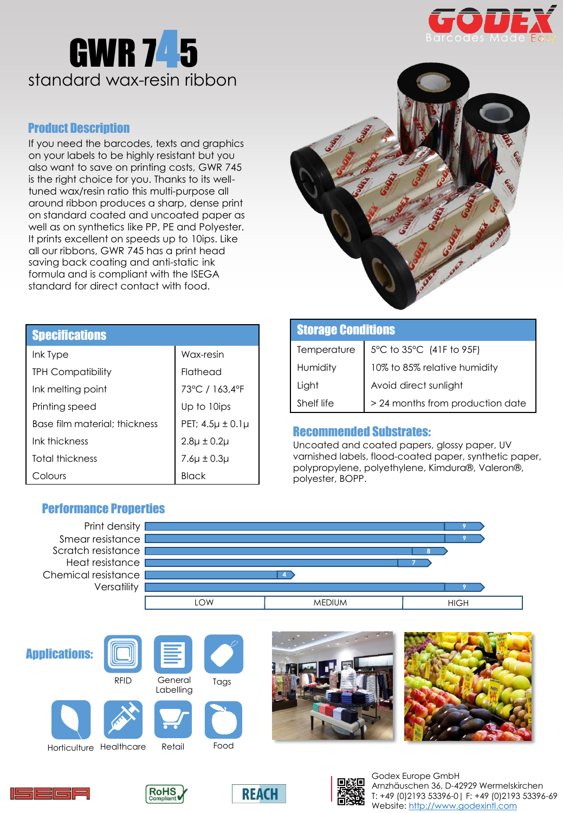



# Product Description

If you need the barcodes, texts and graphics on your labels to be highly resistant but you also want to save on printing costs, GWR 745 is the right choice for you. Thanks to its welltuned wax/resin ratio this multi-purpose all around ribbon produces a sharp, dense print on standard coated and uncoated paper as well as on synthetics like PP, PE and Polyester. It prints excellent on speeds up to 10ips. Like all our ribbons, GWR 745 has a print head saving back coating and anti-static ink formula and is compliant with the ISEGA standard for direct contact with food.



| <b>Specifications</b>         |                          |
|-------------------------------|--------------------------|
| Ink Type                      | Wax-resin                |
| <b>TPH Compatibility</b>      | Flathead                 |
| Ink melting point             | 73°C / 163,4°F           |
| Printing speed                | Up to 10ips              |
| Base film material: thickness | PET; $4.5\mu \pm 0.1\mu$ |
| Ink thickness                 | $2.8\mu \pm 0.2\mu$      |
| Total thickness               | $7.6\mu \pm 0.3\mu$      |
| olours                        |                          |

| <b>Storage Conditions</b> |                                                     |  |
|---------------------------|-----------------------------------------------------|--|
|                           | Temperature $\Big  5^{\circ}C$ to 35°C (41F to 95F) |  |
| Humidity                  | 10% to 85% relative humidity                        |  |
| Light                     | Avoid direct sunlight                               |  |
| Shelf life                | > 24 months from production date                    |  |

# Recommended Substrates:

Uncoated and coated papers, glossy paper, UV varnished labels, flood-coated paper, synthetic paper, polypropylene, polyethylene, Kimdura®, Valeron®, polyester, BOPP.

T: +49 (0)2193 53396-0| F: +49 (0)2193 53396-69

Website: [http://www.godexintl.com](http://www.godex.eu/)



# Performance Properties